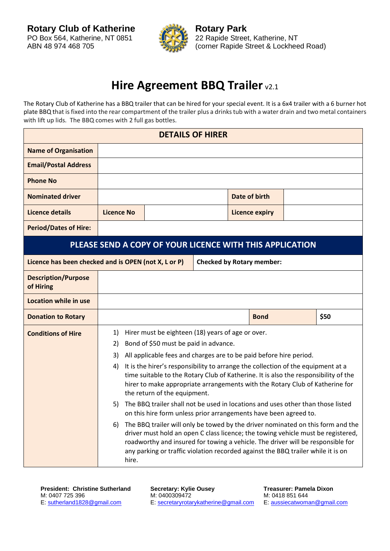

## **Hire Agreement BBQ Trailer** v2.1

The Rotary Club of Katherine has a BBQ trailer that can be hired for your special event. It is a 6x4 trailer with a 6 burner hot plate BBQ that is fixed into the rear compartment of the trailer plus a drinks tub with a water drain and two metal containers with lift up lids. The BBQ comes with 2 full gas bottles.

| <b>DETAILS OF HIRER</b>                                                                  |                                                                                                                                                                                                                                                                                                                                                                                                                                                                                                                                                                                                                                                                                                                                                                                                                                                                                                                                                                                                               |  |  |               |                       |  |      |
|------------------------------------------------------------------------------------------|---------------------------------------------------------------------------------------------------------------------------------------------------------------------------------------------------------------------------------------------------------------------------------------------------------------------------------------------------------------------------------------------------------------------------------------------------------------------------------------------------------------------------------------------------------------------------------------------------------------------------------------------------------------------------------------------------------------------------------------------------------------------------------------------------------------------------------------------------------------------------------------------------------------------------------------------------------------------------------------------------------------|--|--|---------------|-----------------------|--|------|
| <b>Name of Organisation</b>                                                              |                                                                                                                                                                                                                                                                                                                                                                                                                                                                                                                                                                                                                                                                                                                                                                                                                                                                                                                                                                                                               |  |  |               |                       |  |      |
| <b>Email/Postal Address</b>                                                              |                                                                                                                                                                                                                                                                                                                                                                                                                                                                                                                                                                                                                                                                                                                                                                                                                                                                                                                                                                                                               |  |  |               |                       |  |      |
| <b>Phone No</b>                                                                          |                                                                                                                                                                                                                                                                                                                                                                                                                                                                                                                                                                                                                                                                                                                                                                                                                                                                                                                                                                                                               |  |  |               |                       |  |      |
| <b>Nominated driver</b>                                                                  |                                                                                                                                                                                                                                                                                                                                                                                                                                                                                                                                                                                                                                                                                                                                                                                                                                                                                                                                                                                                               |  |  | Date of birth |                       |  |      |
| Licence details                                                                          | <b>Licence No</b>                                                                                                                                                                                                                                                                                                                                                                                                                                                                                                                                                                                                                                                                                                                                                                                                                                                                                                                                                                                             |  |  |               | <b>Licence expiry</b> |  |      |
| <b>Period/Dates of Hire:</b>                                                             |                                                                                                                                                                                                                                                                                                                                                                                                                                                                                                                                                                                                                                                                                                                                                                                                                                                                                                                                                                                                               |  |  |               |                       |  |      |
| PLEASE SEND A COPY OF YOUR LICENCE WITH THIS APPLICATION                                 |                                                                                                                                                                                                                                                                                                                                                                                                                                                                                                                                                                                                                                                                                                                                                                                                                                                                                                                                                                                                               |  |  |               |                       |  |      |
| Licence has been checked and is OPEN (not X, L or P)<br><b>Checked by Rotary member:</b> |                                                                                                                                                                                                                                                                                                                                                                                                                                                                                                                                                                                                                                                                                                                                                                                                                                                                                                                                                                                                               |  |  |               |                       |  |      |
| <b>Description/Purpose</b><br>of Hiring                                                  |                                                                                                                                                                                                                                                                                                                                                                                                                                                                                                                                                                                                                                                                                                                                                                                                                                                                                                                                                                                                               |  |  |               |                       |  |      |
| <b>Location while in use</b>                                                             |                                                                                                                                                                                                                                                                                                                                                                                                                                                                                                                                                                                                                                                                                                                                                                                                                                                                                                                                                                                                               |  |  |               |                       |  |      |
| <b>Donation to Rotary</b>                                                                |                                                                                                                                                                                                                                                                                                                                                                                                                                                                                                                                                                                                                                                                                                                                                                                                                                                                                                                                                                                                               |  |  |               | <b>Bond</b>           |  | \$50 |
| <b>Conditions of Hire</b>                                                                | Hirer must be eighteen (18) years of age or over.<br>1)<br>Bond of \$50 must be paid in advance.<br>2)<br>All applicable fees and charges are to be paid before hire period.<br>3)<br>It is the hirer's responsibility to arrange the collection of the equipment at a<br>4)<br>time suitable to the Rotary Club of Katherine. It is also the responsibility of the<br>hirer to make appropriate arrangements with the Rotary Club of Katherine for<br>the return of the equipment.<br>The BBQ trailer shall not be used in locations and uses other than those listed<br>5)<br>on this hire form unless prior arrangements have been agreed to.<br>The BBQ trailer will only be towed by the driver nominated on this form and the<br>6)<br>driver must hold an open C class licence; the towing vehicle must be registered,<br>roadworthy and insured for towing a vehicle. The driver will be responsible for<br>any parking or traffic violation recorded against the BBQ trailer while it is on<br>hire. |  |  |               |                       |  |      |

**President: Christine Sutherland** M: 0407 725 396 E: [sutherland1828@gmail.com](mailto:sutherland1828@gmail.com)

**Secretary: Kylie Ousey** M: 0400309472 E[: secretaryrotarykatherine@gmail.com](mailto:secretaryrotarykatherine@gmail.com)